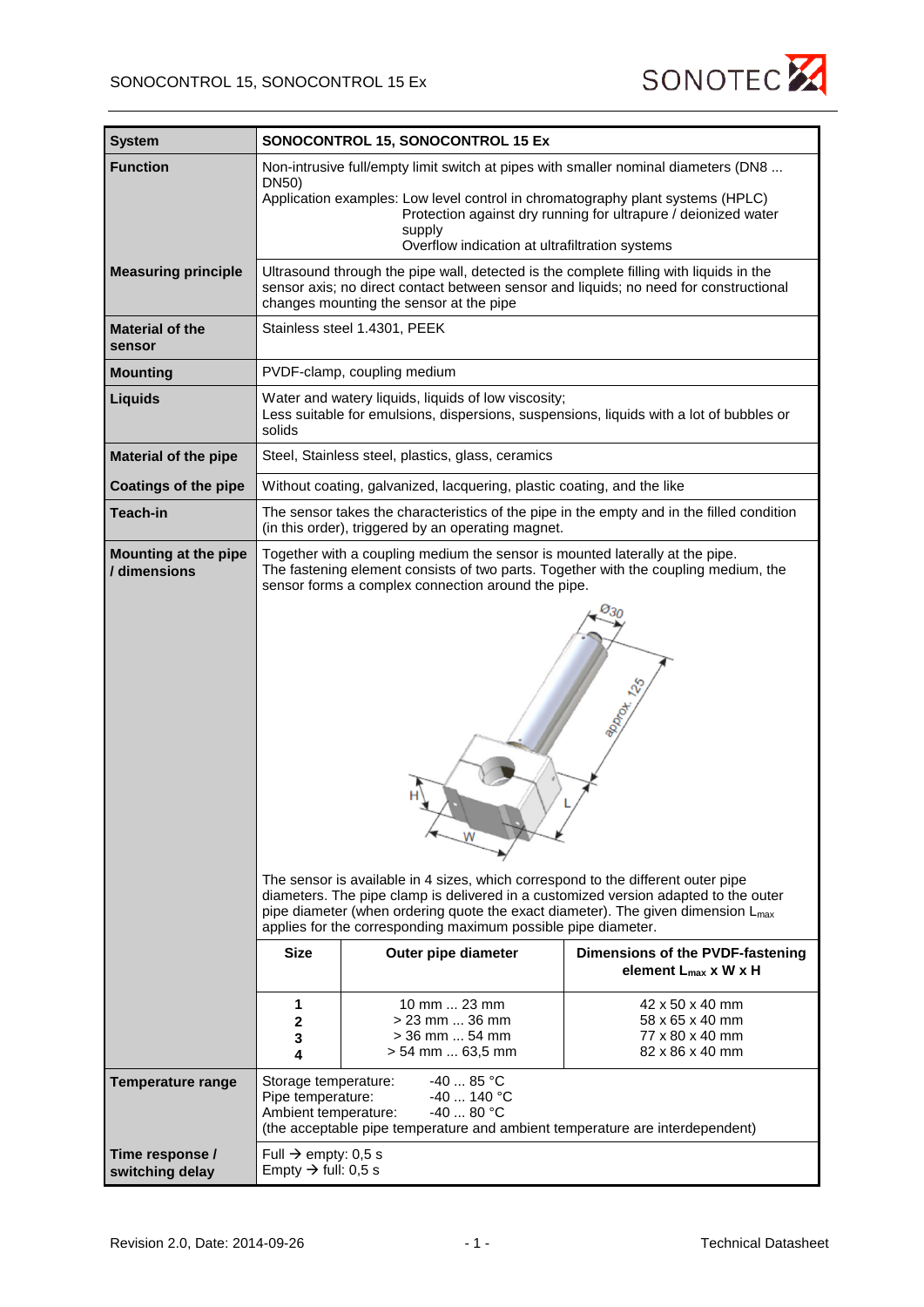| <b>System</b>                        |                                                                                                                                                                                                                                                                                                                                                                                                                                                                                                                                                                       | SONOCONTROL 15, SONOCONTROL 15 Ex                                                        |                                                                          |  |
|--------------------------------------|-----------------------------------------------------------------------------------------------------------------------------------------------------------------------------------------------------------------------------------------------------------------------------------------------------------------------------------------------------------------------------------------------------------------------------------------------------------------------------------------------------------------------------------------------------------------------|------------------------------------------------------------------------------------------|--------------------------------------------------------------------------|--|
| <b>Function</b>                      |                                                                                                                                                                                                                                                                                                                                                                                                                                                                                                                                                                       | Non-intrusive full/empty limit switch at pipes with smaller nominal diameters (DN8       |                                                                          |  |
|                                      | DN50)                                                                                                                                                                                                                                                                                                                                                                                                                                                                                                                                                                 | Application examples: Low level control in chromatography plant systems (HPLC)<br>supply | Protection against dry running for ultrapure / deionized water           |  |
|                                      |                                                                                                                                                                                                                                                                                                                                                                                                                                                                                                                                                                       | Overflow indication at ultrafiltration systems                                           |                                                                          |  |
| <b>Measuring principle</b>           | Ultrasound through the pipe wall, detected is the complete filling with liquids in the<br>sensor axis; no direct contact between sensor and liquids; no need for constructional<br>changes mounting the sensor at the pipe                                                                                                                                                                                                                                                                                                                                            |                                                                                          |                                                                          |  |
| <b>Material of the</b><br>sensor     | Stainless steel 1.4301, PEEK                                                                                                                                                                                                                                                                                                                                                                                                                                                                                                                                          |                                                                                          |                                                                          |  |
| <b>Mounting</b>                      | PVDF-clamp, coupling medium                                                                                                                                                                                                                                                                                                                                                                                                                                                                                                                                           |                                                                                          |                                                                          |  |
| Liquids                              | Water and watery liquids, liquids of low viscosity;<br>Less suitable for emulsions, dispersions, suspensions, liquids with a lot of bubbles or<br>solids                                                                                                                                                                                                                                                                                                                                                                                                              |                                                                                          |                                                                          |  |
| <b>Material of the pipe</b>          | Steel, Stainless steel, plastics, glass, ceramics                                                                                                                                                                                                                                                                                                                                                                                                                                                                                                                     |                                                                                          |                                                                          |  |
| <b>Coatings of the pipe</b>          | Without coating, galvanized, lacquering, plastic coating, and the like                                                                                                                                                                                                                                                                                                                                                                                                                                                                                                |                                                                                          |                                                                          |  |
| <b>Teach-in</b>                      | The sensor takes the characteristics of the pipe in the empty and in the filled condition<br>(in this order), triggered by an operating magnet.                                                                                                                                                                                                                                                                                                                                                                                                                       |                                                                                          |                                                                          |  |
| Mounting at the pipe<br>/ dimensions | Together with a coupling medium the sensor is mounted laterally at the pipe.<br>The fastening element consists of two parts. Together with the coupling medium, the<br>sensor forms a complex connection around the pipe.<br>The sensor is available in 4 sizes, which correspond to the different outer pipe<br>diameters. The pipe clamp is delivered in a customized version adapted to the outer<br>pipe diameter (when ordering quote the exact diameter). The given dimension L <sub>max</sub><br>applies for the corresponding maximum possible pipe diameter. |                                                                                          |                                                                          |  |
|                                      | <b>Size</b>                                                                                                                                                                                                                                                                                                                                                                                                                                                                                                                                                           | Outer pipe diameter                                                                      | Dimensions of the PVDF-fastening<br>element $L_{max}$ x W x H            |  |
|                                      | 1<br>2<br>3<br>4                                                                                                                                                                                                                                                                                                                                                                                                                                                                                                                                                      | 10 mm  23 mm<br>$> 23$ mm $$ 36 mm<br>> 36 mm  54 mm<br>> 54 mm  63,5 mm                 | 42 x 50 x 40 mm<br>58 x 65 x 40 mm<br>77 x 80 x 40 mm<br>82 x 86 x 40 mm |  |
| <b>Temperature range</b>             | $-40$ 85 °C<br>Storage temperature:<br>$-40$ 140 °C<br>Pipe temperature:<br>$-40$ 80 °C<br>Ambient temperature:<br>(the acceptable pipe temperature and ambient temperature are interdependent)                                                                                                                                                                                                                                                                                                                                                                       |                                                                                          |                                                                          |  |
| Time response /<br>switching delay   | Full $\rightarrow$ empty: 0,5 s<br>Empty $\rightarrow$ full: 0,5 s                                                                                                                                                                                                                                                                                                                                                                                                                                                                                                    |                                                                                          |                                                                          |  |